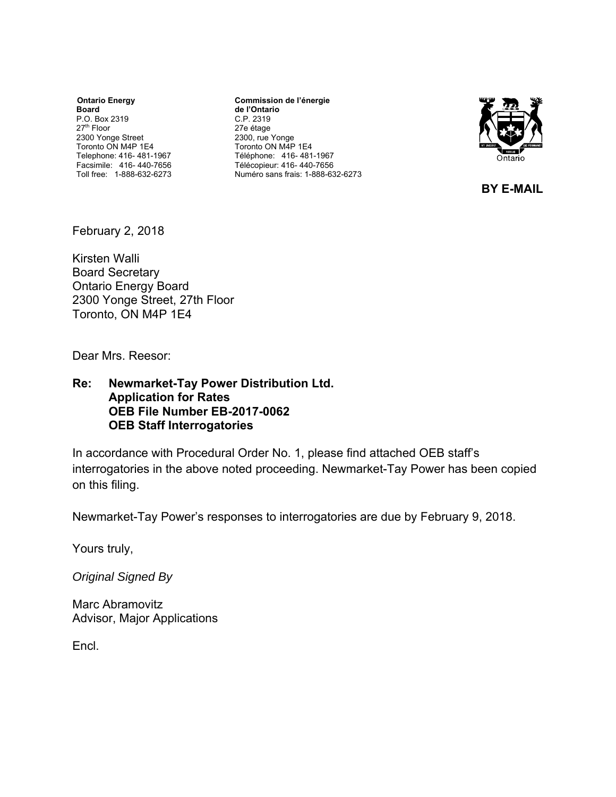**Ontario Energy Board**  P.O. Box 2319 27th Floor 2300 Yonge Street Toronto ON M4P 1E4 Telephone: 416- 481-1967 Facsimile: 416- 440-7656 Toll free: 1-888-632-6273

**Commission de l'énergie de l'Ontario** C.P. 2319 27e étage 2300, rue Yonge Toronto ON M4P 1E4 Téléphone: 416- 481-1967 Télécopieur: 416- 440-7656 Numéro sans frais: 1-888-632-6273



**BY E-MAIL**

February 2, 2018

Kirsten Walli Board Secretary Ontario Energy Board 2300 Yonge Street, 27th Floor Toronto, ON M4P 1E4

Dear Mrs. Reesor:

#### **Re: Newmarket-Tay Power Distribution Ltd. Application for Rates OEB File Number EB-2017-0062 OEB Staff Interrogatories**

In accordance with Procedural Order No. 1, please find attached OEB staff's interrogatories in the above noted proceeding. Newmarket-Tay Power has been copied on this filing.

Newmarket-Tay Power's responses to interrogatories are due by February 9, 2018.

Yours truly,

*Original Signed By* 

Marc Abramovitz Advisor, Major Applications

Encl.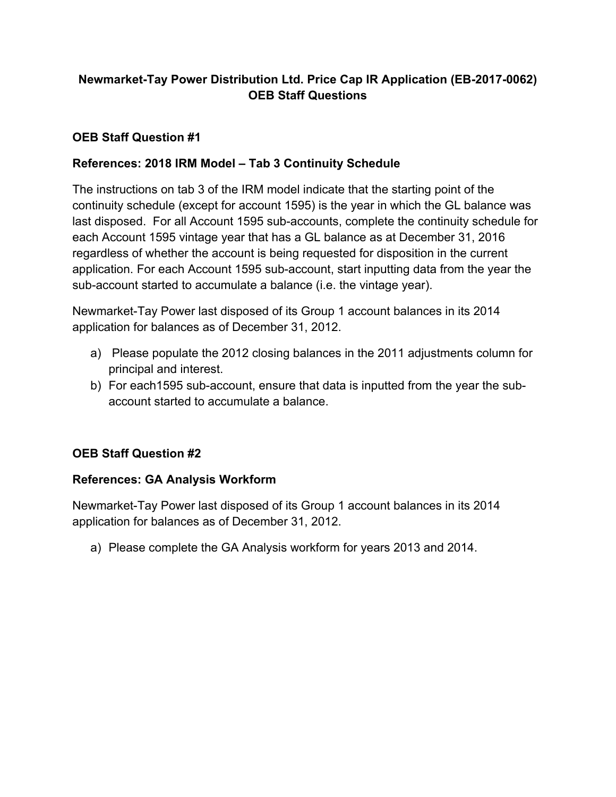# **Newmarket-Tay Power Distribution Ltd. Price Cap IR Application (EB-2017-0062) OEB Staff Questions**

# **OEB Staff Question #1**

## **References: 2018 IRM Model – Tab 3 Continuity Schedule**

The instructions on tab 3 of the IRM model indicate that the starting point of the continuity schedule (except for account 1595) is the year in which the GL balance was last disposed. For all Account 1595 sub-accounts, complete the continuity schedule for each Account 1595 vintage year that has a GL balance as at December 31, 2016 regardless of whether the account is being requested for disposition in the current application. For each Account 1595 sub-account, start inputting data from the year the sub-account started to accumulate a balance (i.e. the vintage year).

Newmarket-Tay Power last disposed of its Group 1 account balances in its 2014 application for balances as of December 31, 2012.

- a) Please populate the 2012 closing balances in the 2011 adjustments column for principal and interest.
- b) For each1595 sub-account, ensure that data is inputted from the year the subaccount started to accumulate a balance.

# **OEB Staff Question #2**

### **References: GA Analysis Workform**

Newmarket-Tay Power last disposed of its Group 1 account balances in its 2014 application for balances as of December 31, 2012.

a) Please complete the GA Analysis workform for years 2013 and 2014.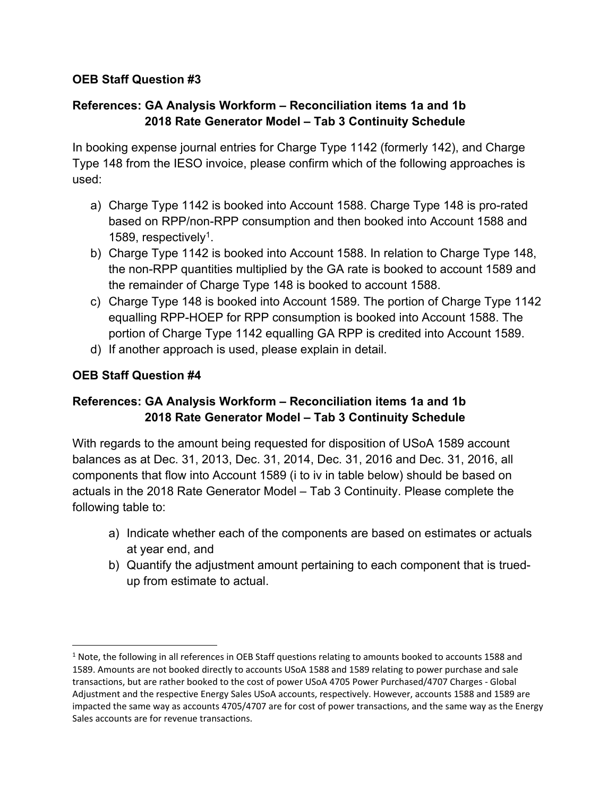# **References: GA Analysis Workform – Reconciliation items 1a and 1b 2018 Rate Generator Model – Tab 3 Continuity Schedule**

In booking expense journal entries for Charge Type 1142 (formerly 142), and Charge Type 148 from the IESO invoice, please confirm which of the following approaches is used:

- a) Charge Type 1142 is booked into Account 1588. Charge Type 148 is pro-rated based on RPP/non-RPP consumption and then booked into Account 1588 and 1589, respectively1.
- b) Charge Type 1142 is booked into Account 1588. In relation to Charge Type 148, the non-RPP quantities multiplied by the GA rate is booked to account 1589 and the remainder of Charge Type 148 is booked to account 1588.
- c) Charge Type 148 is booked into Account 1589. The portion of Charge Type 1142 equalling RPP-HOEP for RPP consumption is booked into Account 1588. The portion of Charge Type 1142 equalling GA RPP is credited into Account 1589.
- d) If another approach is used, please explain in detail.

## **OEB Staff Question #4**

# **References: GA Analysis Workform – Reconciliation items 1a and 1b 2018 Rate Generator Model – Tab 3 Continuity Schedule**

With regards to the amount being requested for disposition of USoA 1589 account balances as at Dec. 31, 2013, Dec. 31, 2014, Dec. 31, 2016 and Dec. 31, 2016, all components that flow into Account 1589 (i to iv in table below) should be based on actuals in the 2018 Rate Generator Model – Tab 3 Continuity. Please complete the following table to:

- a) Indicate whether each of the components are based on estimates or actuals at year end, and
- b) Quantify the adjustment amount pertaining to each component that is truedup from estimate to actual.

 $1$  Note, the following in all references in OEB Staff questions relating to amounts booked to accounts 1588 and 1589. Amounts are not booked directly to accounts USoA 1588 and 1589 relating to power purchase and sale transactions, but are rather booked to the cost of power USoA 4705 Power Purchased/4707 Charges ‐ Global Adjustment and the respective Energy Sales USoA accounts, respectively. However, accounts 1588 and 1589 are impacted the same way as accounts 4705/4707 are for cost of power transactions, and the same way as the Energy Sales accounts are for revenue transactions.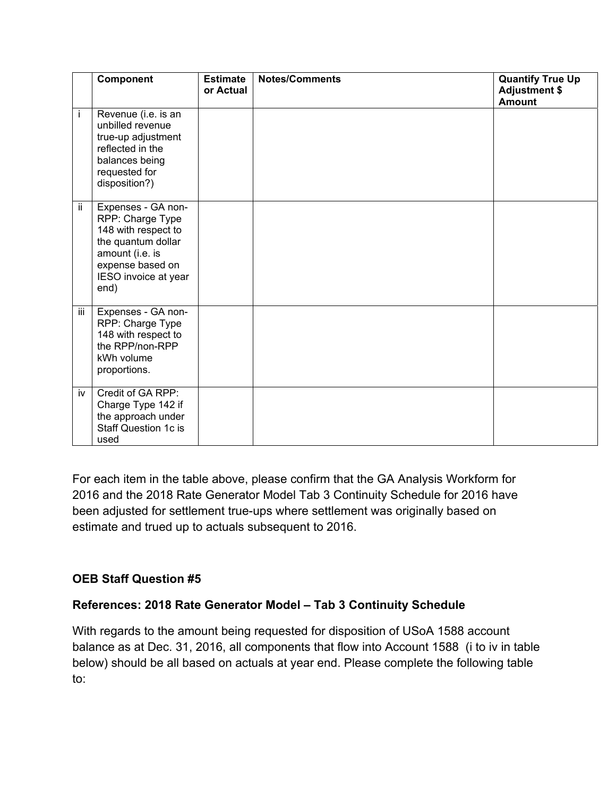|                           | Component                                                                                                                                                  | <b>Estimate</b><br>or Actual | <b>Notes/Comments</b> | <b>Quantify True Up</b><br><b>Adjustment \$</b><br><b>Amount</b> |
|---------------------------|------------------------------------------------------------------------------------------------------------------------------------------------------------|------------------------------|-----------------------|------------------------------------------------------------------|
| i                         | Revenue (i.e. is an<br>unbilled revenue<br>true-up adjustment<br>reflected in the<br>balances being<br>requested for<br>disposition?)                      |                              |                       |                                                                  |
| ΪÏ                        | Expenses - GA non-<br>RPP: Charge Type<br>148 with respect to<br>the quantum dollar<br>amount (i.e. is<br>expense based on<br>IESO invoice at year<br>end) |                              |                       |                                                                  |
| $\overline{\mathsf{iii}}$ | Expenses - GA non-<br>RPP: Charge Type<br>148 with respect to<br>the RPP/non-RPP<br>kWh volume<br>proportions.                                             |                              |                       |                                                                  |
| iv                        | Credit of GA RPP:<br>Charge Type 142 if<br>the approach under<br><b>Staff Question 1c is</b><br>used                                                       |                              |                       |                                                                  |

For each item in the table above, please confirm that the GA Analysis Workform for 2016 and the 2018 Rate Generator Model Tab 3 Continuity Schedule for 2016 have been adjusted for settlement true-ups where settlement was originally based on estimate and trued up to actuals subsequent to 2016.

### **OEB Staff Question #5**

#### **References: 2018 Rate Generator Model – Tab 3 Continuity Schedule**

With regards to the amount being requested for disposition of USoA 1588 account balance as at Dec. 31, 2016, all components that flow into Account 1588 (i to iv in table below) should be all based on actuals at year end. Please complete the following table to: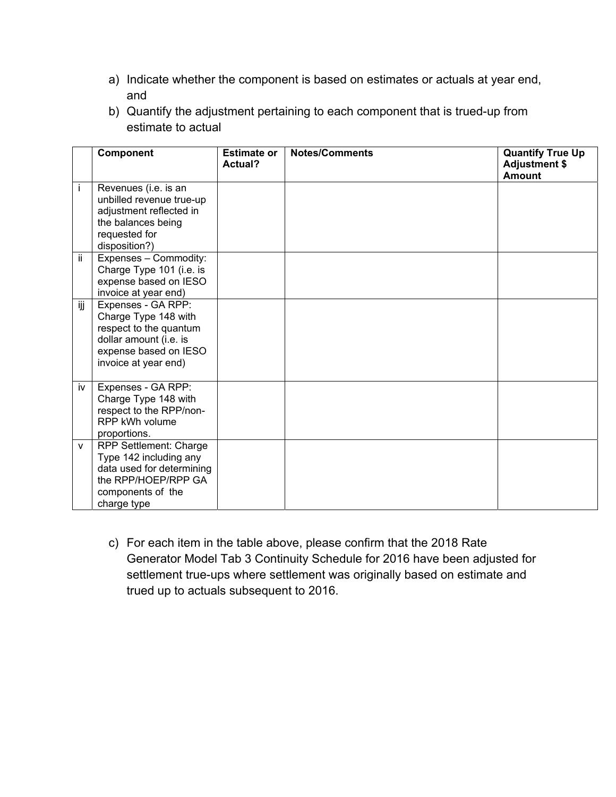- a) Indicate whether the component is based on estimates or actuals at year end, and
- b) Quantify the adjustment pertaining to each component that is trued-up from estimate to actual

|              | Component                                                                                                                                       | <b>Estimate or</b><br>Actual? | <b>Notes/Comments</b> | <b>Quantify True Up</b><br><b>Adjustment \$</b><br><b>Amount</b> |
|--------------|-------------------------------------------------------------------------------------------------------------------------------------------------|-------------------------------|-----------------------|------------------------------------------------------------------|
| İ.           | Revenues (i.e. is an<br>unbilled revenue true-up<br>adjustment reflected in<br>the balances being<br>requested for<br>disposition?)             |                               |                       |                                                                  |
| ΪÏ           | Expenses - Commodity:<br>Charge Type 101 (i.e. is<br>expense based on IESO<br>invoice at year end)                                              |                               |                       |                                                                  |
| ijj          | Expenses - GA RPP:<br>Charge Type 148 with<br>respect to the quantum<br>dollar amount (i.e. is<br>expense based on IESO<br>invoice at year end) |                               |                       |                                                                  |
| iv           | Expenses - GA RPP:<br>Charge Type 148 with<br>respect to the RPP/non-<br>RPP kWh volume<br>proportions.                                         |                               |                       |                                                                  |
| $\mathsf{V}$ | <b>RPP Settlement: Charge</b><br>Type 142 including any<br>data used for determining<br>the RPP/HOEP/RPP GA<br>components of the<br>charge type |                               |                       |                                                                  |

c) For each item in the table above, please confirm that the 2018 Rate Generator Model Tab 3 Continuity Schedule for 2016 have been adjusted for settlement true-ups where settlement was originally based on estimate and trued up to actuals subsequent to 2016.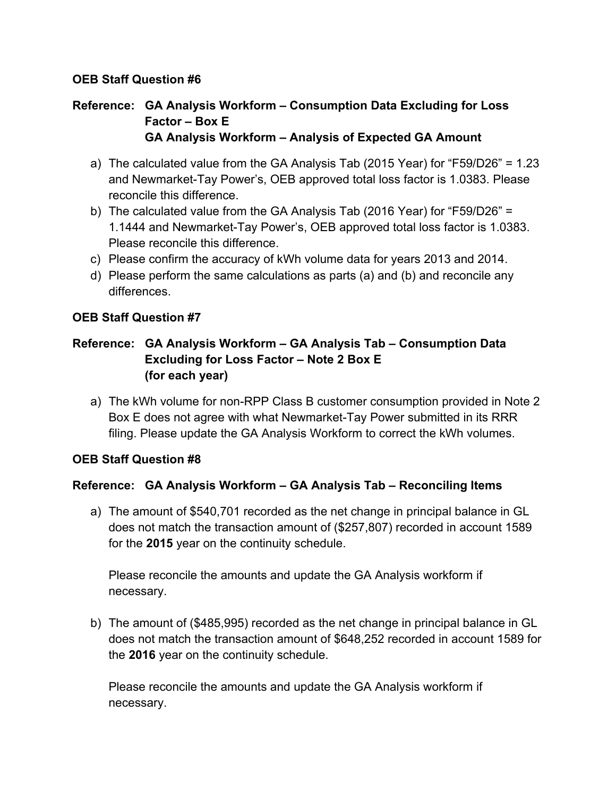# **Reference: GA Analysis Workform – Consumption Data Excluding for Loss Factor – Box E GA Analysis Workform – Analysis of Expected GA Amount**

- a) The calculated value from the GA Analysis Tab (2015 Year) for "F59/D26" = 1.23 and Newmarket-Tay Power's, OEB approved total loss factor is 1.0383. Please reconcile this difference.
- b) The calculated value from the GA Analysis Tab (2016 Year) for "F59/D26" = 1.1444 and Newmarket-Tay Power's, OEB approved total loss factor is 1.0383. Please reconcile this difference.
- c) Please confirm the accuracy of kWh volume data for years 2013 and 2014.
- d) Please perform the same calculations as parts (a) and (b) and reconcile any differences.

## **OEB Staff Question #7**

# **Reference: GA Analysis Workform – GA Analysis Tab – Consumption Data Excluding for Loss Factor – Note 2 Box E (for each year)**

a) The kWh volume for non-RPP Class B customer consumption provided in Note 2 Box E does not agree with what Newmarket-Tay Power submitted in its RRR filing. Please update the GA Analysis Workform to correct the kWh volumes.

### **OEB Staff Question #8**

### **Reference: GA Analysis Workform – GA Analysis Tab – Reconciling Items**

a) The amount of \$540,701 recorded as the net change in principal balance in GL does not match the transaction amount of (\$257,807) recorded in account 1589 for the **2015** year on the continuity schedule.

Please reconcile the amounts and update the GA Analysis workform if necessary.

b) The amount of (\$485,995) recorded as the net change in principal balance in GL does not match the transaction amount of \$648,252 recorded in account 1589 for the **2016** year on the continuity schedule.

Please reconcile the amounts and update the GA Analysis workform if necessary.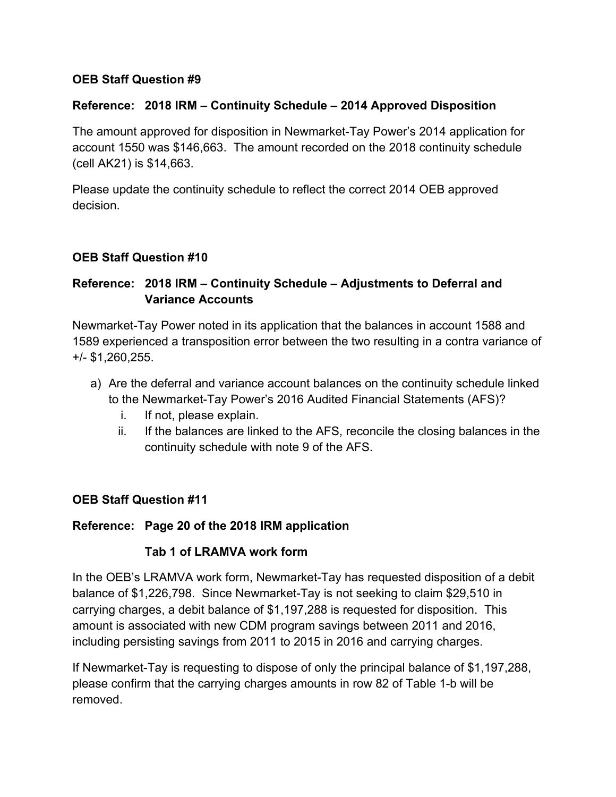#### **Reference: 2018 IRM – Continuity Schedule – 2014 Approved Disposition**

The amount approved for disposition in Newmarket-Tay Power's 2014 application for account 1550 was \$146,663. The amount recorded on the 2018 continuity schedule (cell AK21) is \$14,663.

Please update the continuity schedule to reflect the correct 2014 OEB approved decision.

#### **OEB Staff Question #10**

## **Reference: 2018 IRM – Continuity Schedule – Adjustments to Deferral and Variance Accounts**

Newmarket-Tay Power noted in its application that the balances in account 1588 and 1589 experienced a transposition error between the two resulting in a contra variance of +/- \$1,260,255.

- a) Are the deferral and variance account balances on the continuity schedule linked to the Newmarket-Tay Power's 2016 Audited Financial Statements (AFS)?
	- i. If not, please explain.
	- ii. If the balances are linked to the AFS, reconcile the closing balances in the continuity schedule with note 9 of the AFS.

#### **OEB Staff Question #11**

#### **Reference: Page 20 of the 2018 IRM application**

#### **Tab 1 of LRAMVA work form**

In the OEB's LRAMVA work form, Newmarket-Tay has requested disposition of a debit balance of \$1,226,798. Since Newmarket-Tay is not seeking to claim \$29,510 in carrying charges, a debit balance of \$1,197,288 is requested for disposition. This amount is associated with new CDM program savings between 2011 and 2016, including persisting savings from 2011 to 2015 in 2016 and carrying charges.

If Newmarket-Tay is requesting to dispose of only the principal balance of \$1,197,288, please confirm that the carrying charges amounts in row 82 of Table 1-b will be removed.